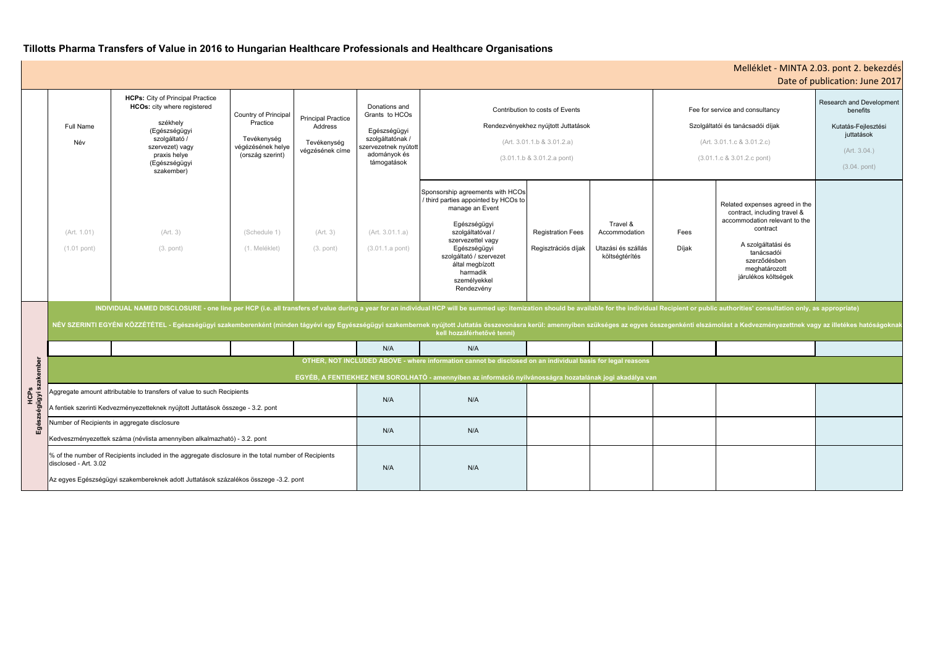| Melléklet - MINTA 2.03. pont 2. bekezdés<br>Date of publication: June 2017                                                      |                                                                                                                                                                                                         |                                                                                                             |  |  |  |  |  |  |  |
|---------------------------------------------------------------------------------------------------------------------------------|---------------------------------------------------------------------------------------------------------------------------------------------------------------------------------------------------------|-------------------------------------------------------------------------------------------------------------|--|--|--|--|--|--|--|
|                                                                                                                                 | Fee for service and consultancy<br>Szolgáltatói és tanácsadói díjak<br>(Art. 3.01.1.c & 3.01.2.c)<br>$(3.01.1.c & 3.01.2.c &$ pont)                                                                     | Research and Development<br>benefits<br>Kutatás-Fejlesztési<br>juttatások<br>(Art. 3.04.)<br>$(3.04.$ pont) |  |  |  |  |  |  |  |
| S<br>k                                                                                                                          | Related expenses agreed in the<br>contract, including travel &<br>accommodation relevant to the<br>contract<br>A szolgáltatási és<br>tanácsadói<br>szerződésben<br>meghatározott<br>járulékos költségek |                                                                                                             |  |  |  |  |  |  |  |
| or public authorities' consultation only, as appropriate)<br>ti elszámolást a Kedvezményezettnek vagy az illetékes hatóságoknak |                                                                                                                                                                                                         |                                                                                                             |  |  |  |  |  |  |  |
|                                                                                                                                 |                                                                                                                                                                                                         |                                                                                                             |  |  |  |  |  |  |  |
|                                                                                                                                 |                                                                                                                                                                                                         |                                                                                                             |  |  |  |  |  |  |  |
|                                                                                                                                 |                                                                                                                                                                                                         |                                                                                                             |  |  |  |  |  |  |  |
|                                                                                                                                 |                                                                                                                                                                                                         |                                                                                                             |  |  |  |  |  |  |  |

|                    |                                                                                                                                                                                                                                                                                                                                                                                                                                                                                                |                                                                                                                                                                                        |                                                                                          |                                                                        |                                                                                                                            |                                                                                                                                                                                                                                                              |                                                 |                                                                   |                                                                                                                                     |                                                                                                                                                                                                         | Date of publication: June 2017 |
|--------------------|------------------------------------------------------------------------------------------------------------------------------------------------------------------------------------------------------------------------------------------------------------------------------------------------------------------------------------------------------------------------------------------------------------------------------------------------------------------------------------------------|----------------------------------------------------------------------------------------------------------------------------------------------------------------------------------------|------------------------------------------------------------------------------------------|------------------------------------------------------------------------|----------------------------------------------------------------------------------------------------------------------------|--------------------------------------------------------------------------------------------------------------------------------------------------------------------------------------------------------------------------------------------------------------|-------------------------------------------------|-------------------------------------------------------------------|-------------------------------------------------------------------------------------------------------------------------------------|---------------------------------------------------------------------------------------------------------------------------------------------------------------------------------------------------------|--------------------------------|
|                    | <b>Full Name</b><br>Név                                                                                                                                                                                                                                                                                                                                                                                                                                                                        | <b>HCPs:</b> City of Principal Practice<br>HCOs: city where registered<br>székhely<br>(Egészségügyi<br>szolgáltató /<br>szervezet) vagy<br>praxis helye<br>(Egészségügyi<br>szakember) | Country of Principal<br>Practice<br>Tevékenység<br>végézésének helye<br>(ország szerint) | <b>Principal Practice</b><br>Address<br>Tevékenység<br>végzésének címe | Donations and<br>Grants to HCOs<br>Egészségügyi<br>szolgáltatónak /<br>szervezetnek nyútott<br>adományok és<br>támogatások | Contribution to costs of Events<br>Rendezvényekhez nyújtott Juttatások<br>(Art. 3.01.1.b & 3.01.2.a)<br>$(3.01.1.b & 3.01.2.a$ pont)                                                                                                                         |                                                 |                                                                   | Fee for service and consultancy<br>Szolgáltatói és tanácsadói díjak<br>(Art. 3.01.1.c & 3.01.2.c)<br>$(3.01.1.c & 3.01.2.c &$ pont) | Research and Development<br>benefits<br>Kutatás-Fejlesztési<br>juttatások<br>(Art. 3.04.)<br>$(3.04.$ pont)                                                                                             |                                |
|                    | (Art. 1.01)<br>$(1.01$ pont)                                                                                                                                                                                                                                                                                                                                                                                                                                                                   | (Art. 3)<br>$(3.$ pont)                                                                                                                                                                | (Schedule 1)<br>(1. Meléklet)                                                            | (Art. 3)<br>$(3.$ pont)                                                | (Art. 3.01.1.a)<br>$(3.01.1.a$ pont)                                                                                       | Sponsorship agreements with HCOs<br>/ third parties appointed by HCOs to<br>manage an Event<br>Egészségügyi<br>szolgáltatóval /<br>szervezettel vagy<br>Egészségügyi<br>szolgáltató / szervezet<br>által megbízott<br>harmadik<br>személyekkel<br>Rendezvény | <b>Registration Fees</b><br>Regisztrációs díjak | Travel &<br>Accommodation<br>Utazási és szállás<br>költségtérítés | Fees<br>Díjak                                                                                                                       | Related expenses agreed in the<br>contract, including travel &<br>accommodation relevant to the<br>contract<br>A szolgáltatási és<br>tanácsadói<br>szerződésben<br>meghatározott<br>járulékos költségek |                                |
|                    | INDIVIDUAL NAMED DISCLOSURE - one line per HCP (i.e. all transfers of value during a year for an individual HCP will be summed up: itemization should be available for the individual Recipient or public authorities' consult<br>NÉV SZERINTI EGYÉNI KÖZZÉTÉTEL - Egészségügyi szakemberenként (minden tágyévi egy Egyészségügyi szakembernek nyújtott Juttatás összevonásra kerül: amennyiben szükséges az egyes összegenkénti elszámolást a Kedvezményezettne<br>kell hozzáférhetővé tenni) |                                                                                                                                                                                        |                                                                                          |                                                                        |                                                                                                                            |                                                                                                                                                                                                                                                              |                                                 |                                                                   |                                                                                                                                     |                                                                                                                                                                                                         |                                |
|                    |                                                                                                                                                                                                                                                                                                                                                                                                                                                                                                |                                                                                                                                                                                        |                                                                                          |                                                                        | N/A                                                                                                                        | N/A                                                                                                                                                                                                                                                          |                                                 |                                                                   |                                                                                                                                     |                                                                                                                                                                                                         |                                |
|                    | OTHER, NOT INCLUDED ABOVE - where information cannot be disclosed on an individual basis for legal reasons                                                                                                                                                                                                                                                                                                                                                                                     |                                                                                                                                                                                        |                                                                                          |                                                                        |                                                                                                                            |                                                                                                                                                                                                                                                              |                                                 |                                                                   |                                                                                                                                     |                                                                                                                                                                                                         |                                |
| akembe             | EGYÉB, A FENTIEKHEZ NEM SOROLHATÓ - amennyiben az információ nyilvánosságra hozatalának jogi akadálya van                                                                                                                                                                                                                                                                                                                                                                                      |                                                                                                                                                                                        |                                                                                          |                                                                        |                                                                                                                            |                                                                                                                                                                                                                                                              |                                                 |                                                                   |                                                                                                                                     |                                                                                                                                                                                                         |                                |
| HCPS<br>gügyi<br>ᇤ | Aggregate amount attributable to transfers of value to such Recipients<br>A fentiek szerinti Kedvezményezetteknek nyújtott Juttatások összege - 3.2. pont                                                                                                                                                                                                                                                                                                                                      |                                                                                                                                                                                        |                                                                                          | N/A                                                                    | N/A                                                                                                                        |                                                                                                                                                                                                                                                              |                                                 |                                                                   |                                                                                                                                     |                                                                                                                                                                                                         |                                |
|                    | Number of Recipients in aggregate disclosure<br>Kedveszményezettek száma (névlista amennyiben alkalmazható) - 3.2. pont                                                                                                                                                                                                                                                                                                                                                                        |                                                                                                                                                                                        |                                                                                          | N/A                                                                    | N/A                                                                                                                        |                                                                                                                                                                                                                                                              |                                                 |                                                                   |                                                                                                                                     |                                                                                                                                                                                                         |                                |
|                    | % of the number of Recipients included in the aggregate disclosure in the total number of Recipients<br>disclosed - Art. 3.02<br>Az egyes Egészségügyi szakembereknek adott Juttatások százalékos összege -3.2. pont                                                                                                                                                                                                                                                                           |                                                                                                                                                                                        |                                                                                          |                                                                        | N/A                                                                                                                        | N/A                                                                                                                                                                                                                                                          |                                                 |                                                                   |                                                                                                                                     |                                                                                                                                                                                                         |                                |

# **Tillotts Pharma Transfers of Value in 2016 to Hungarian Healthcare Professionals and Healthcare Organisations**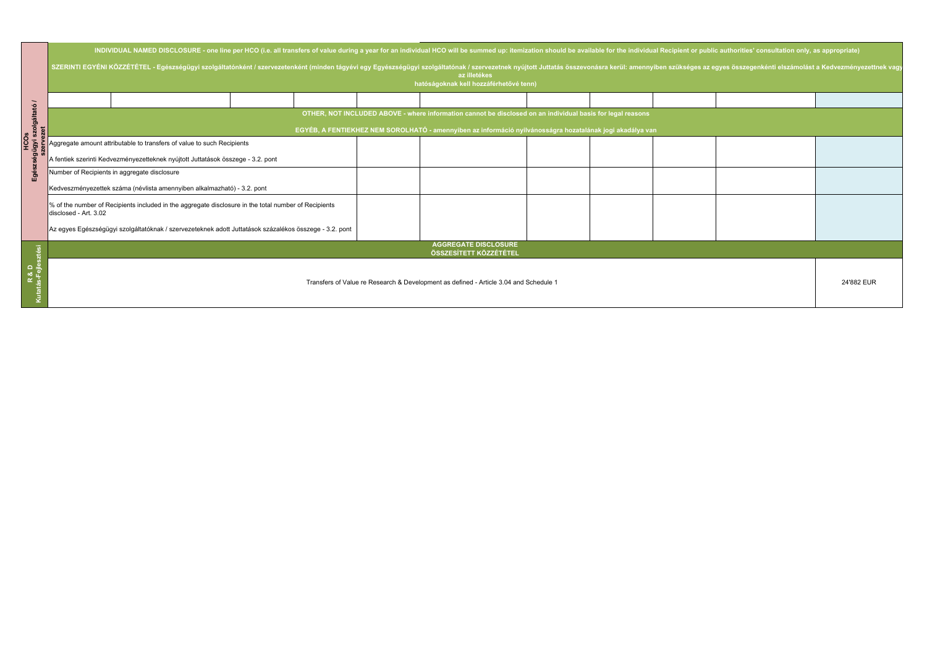| $\overline{\phantom{0}}$<br>olgáltató<br>Egé | INDIVIDUAL NAMED DISCLOSURE - one line per HCO (i.e. all transfers of value during a year for an individual HCO will be summed up: itemization should be available for the individual Recipient or public authorities' consult<br>SZERINTI EGYÉNI KÖZZÉTÉTEL - Egészségügyi szolgáltatónként / szervezetenként (minden tágyévi egy Egyészségügyi szolgáltatónak / szervezetnek nyújtott Juttatás összevonásra kerül: amennyiben szükséges az egyes összegenkénti<br>az illetékes<br>hatóságoknak kell hozzáférhetővé tenn) |  |  |  |  |  |  |  |  |
|----------------------------------------------|----------------------------------------------------------------------------------------------------------------------------------------------------------------------------------------------------------------------------------------------------------------------------------------------------------------------------------------------------------------------------------------------------------------------------------------------------------------------------------------------------------------------------|--|--|--|--|--|--|--|--|
|                                              |                                                                                                                                                                                                                                                                                                                                                                                                                                                                                                                            |  |  |  |  |  |  |  |  |
|                                              | OTHER, NOT INCLUDED ABOVE - where information cannot be disclosed on an individual basis for legal reasons<br>EGYÉB, A FENTIEKHEZ NEM SOROLHATÓ - amennyiben az információ nyilvánosságra hozatalának jogi akadálya van                                                                                                                                                                                                                                                                                                    |  |  |  |  |  |  |  |  |
|                                              | Aggregate amount attributable to transfers of value to such Recipients                                                                                                                                                                                                                                                                                                                                                                                                                                                     |  |  |  |  |  |  |  |  |
|                                              | A fentiek szerinti Kedvezményezetteknek nyújtott Juttatások összege - 3.2. pont                                                                                                                                                                                                                                                                                                                                                                                                                                            |  |  |  |  |  |  |  |  |
|                                              | Number of Recipients in aggregate disclosure                                                                                                                                                                                                                                                                                                                                                                                                                                                                               |  |  |  |  |  |  |  |  |
|                                              | Kedveszményezettek száma (névlista amennyiben alkalmazható) - 3.2. pont                                                                                                                                                                                                                                                                                                                                                                                                                                                    |  |  |  |  |  |  |  |  |
|                                              | % of the number of Recipients included in the aggregate disclosure in the total number of Recipients<br>disclosed - Art. 3.02                                                                                                                                                                                                                                                                                                                                                                                              |  |  |  |  |  |  |  |  |
|                                              | Az egyes Egészségügyi szolgáltatóknak / szervezeteknek adott Juttatások százalékos összege - 3.2. pont                                                                                                                                                                                                                                                                                                                                                                                                                     |  |  |  |  |  |  |  |  |
| a ¦e<br>¤ ile                                | <b>AGGREGATE DISCLOSURE</b><br>ÖSSZESÍTETT KÖZZÉTÉTEL                                                                                                                                                                                                                                                                                                                                                                                                                                                                      |  |  |  |  |  |  |  |  |
|                                              | Transfers of Value re Research & Development as defined - Article 3.04 and Schedule 1                                                                                                                                                                                                                                                                                                                                                                                                                                      |  |  |  |  |  |  |  |  |